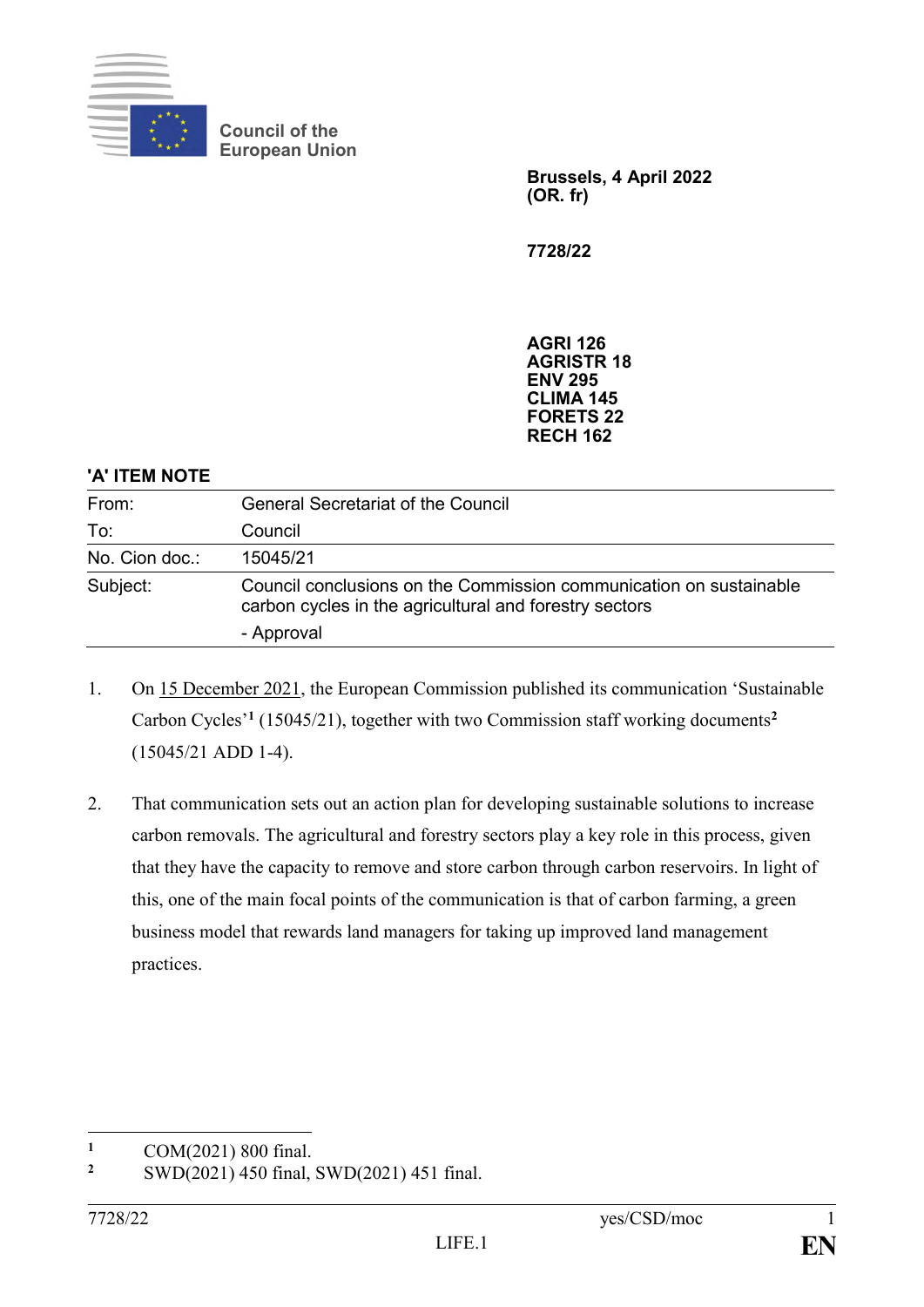

**Council of the European Union**

> **Brussels, 4 April 2022 (OR. fr)**

**7728/22**

**AGRI 126 AGRISTR 18 ENV 295 CLIMA 145 FORETS 22 RECH 162**

## **'A' ITEM NOTE**

| From:          | <b>General Secretariat of the Council</b>                                                                                    |
|----------------|------------------------------------------------------------------------------------------------------------------------------|
| To:            | Council                                                                                                                      |
| No. Cion doc.: | 15045/21                                                                                                                     |
| Subject:       | Council conclusions on the Commission communication on sustainable<br>carbon cycles in the agricultural and forestry sectors |
|                | - Approval                                                                                                                   |

- 1. On 15 December 2021, the European Commission published its communication 'Sustainable Carbon Cycles'**<sup>1</sup>** (15045/21), together with two Commission staff working documents**<sup>2</sup>** (15045/21 ADD 1-4).
- 2. That communication sets out an action plan for developing sustainable solutions to increase carbon removals. The agricultural and forestry sectors play a key role in this process, given that they have the capacity to remove and store carbon through carbon reservoirs. In light of this, one of the main focal points of the communication is that of carbon farming, a green business model that rewards land managers for taking up improved land management practices.

 $\mathbf{1}$ <sup>1</sup> COM(2021) 800 final.<br><sup>2</sup> SWD(2021) 450 final.

**<sup>2</sup>** SWD(2021) 450 final, SWD(2021) 451 final.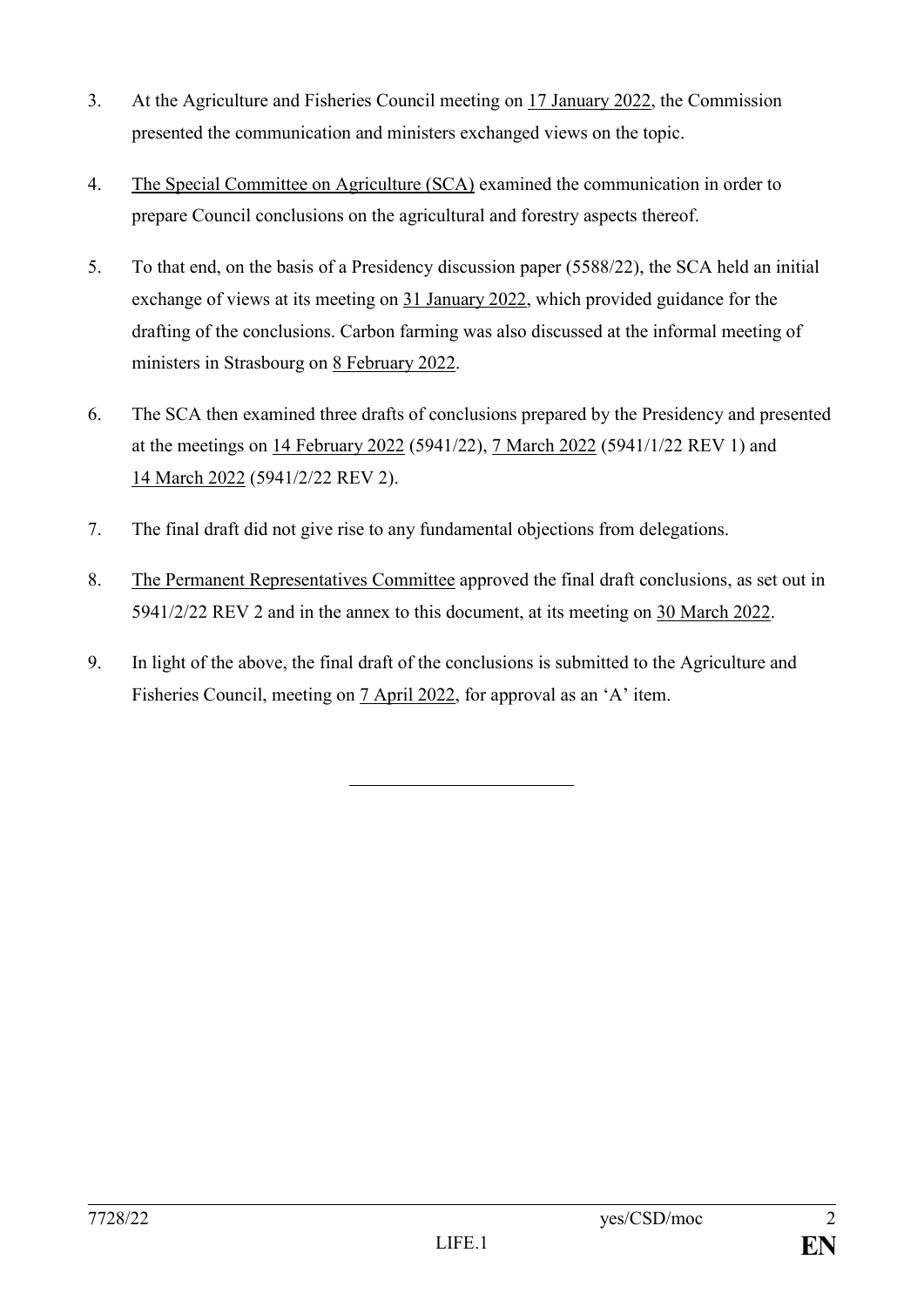- 3. At the Agriculture and Fisheries Council meeting on 17 January 2022, the Commission presented the communication and ministers exchanged views on the topic.
- 4. The Special Committee on Agriculture (SCA) examined the communication in order to prepare Council conclusions on the agricultural and forestry aspects thereof.
- 5. To that end, on the basis of a Presidency discussion paper (5588/22), the SCA held an initial exchange of views at its meeting on 31 January 2022, which provided guidance for the drafting of the conclusions. Carbon farming was also discussed at the informal meeting of ministers in Strasbourg on 8 February 2022.
- 6. The SCA then examined three drafts of conclusions prepared by the Presidency and presented at the meetings on 14 February 2022 (5941/22), 7 March 2022 (5941/1/22 REV 1) and 14 March 2022 (5941/2/22 REV 2).
- 7. The final draft did not give rise to any fundamental objections from delegations.
- 8. The Permanent Representatives Committee approved the final draft conclusions, as set out in 5941/2/22 REV 2 and in the annex to this document, at its meeting on 30 March 2022.
- 9. In light of the above, the final draft of the conclusions is submitted to the Agriculture and Fisheries Council, meeting on 7 April 2022, for approval as an 'A' item.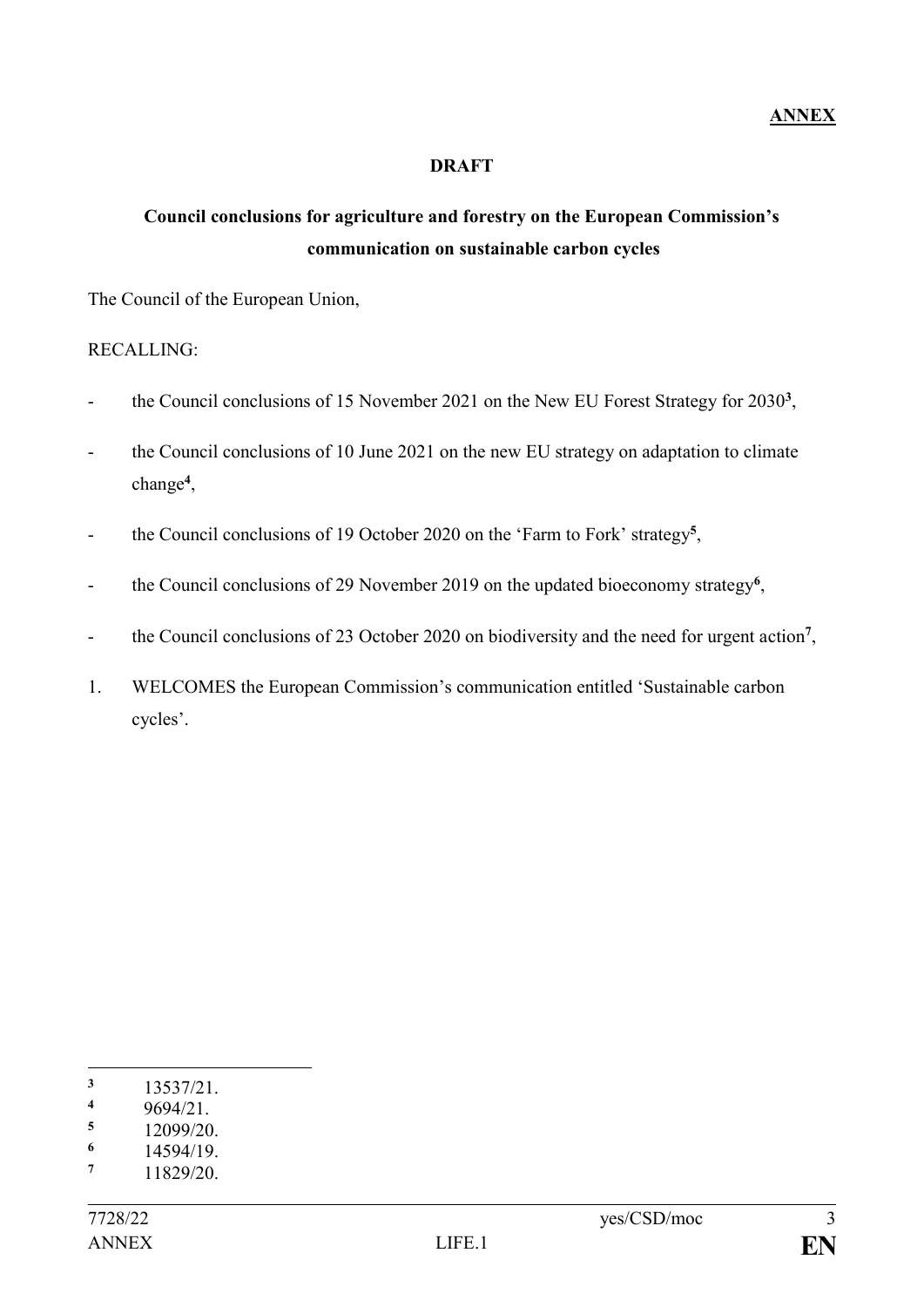## **DRAFT**

## **Council conclusions for agriculture and forestry on the European Commission's communication on sustainable carbon cycles**

The Council of the European Union,

RECALLING:

- the Council conclusions of 15 November 2021 on the New EU Forest Strategy for 2030**<sup>3</sup>** ,
- the Council conclusions of 10 June 2021 on the new EU strategy on adaptation to climate change**<sup>4</sup>** ,
- the Council conclusions of 19 October 2020 on the 'Farm to Fork' strategy**<sup>5</sup>** ,
- the Council conclusions of 29 November 2019 on the updated bioeconomy strategy<sup>6</sup>,
- the Council conclusions of 23 October 2020 on biodiversity and the need for urgent action**<sup>7</sup>** ,
- 1. WELCOMES the European Commission's communication entitled 'Sustainable carbon cycles'.

1

**<sup>3</sup>** 13537/21.

 $\frac{4}{5}$  9694/21.

 $\frac{5}{6}$  12099/20.

 $\frac{6}{7}$  14594/19.

**<sup>7</sup>** 11829/20.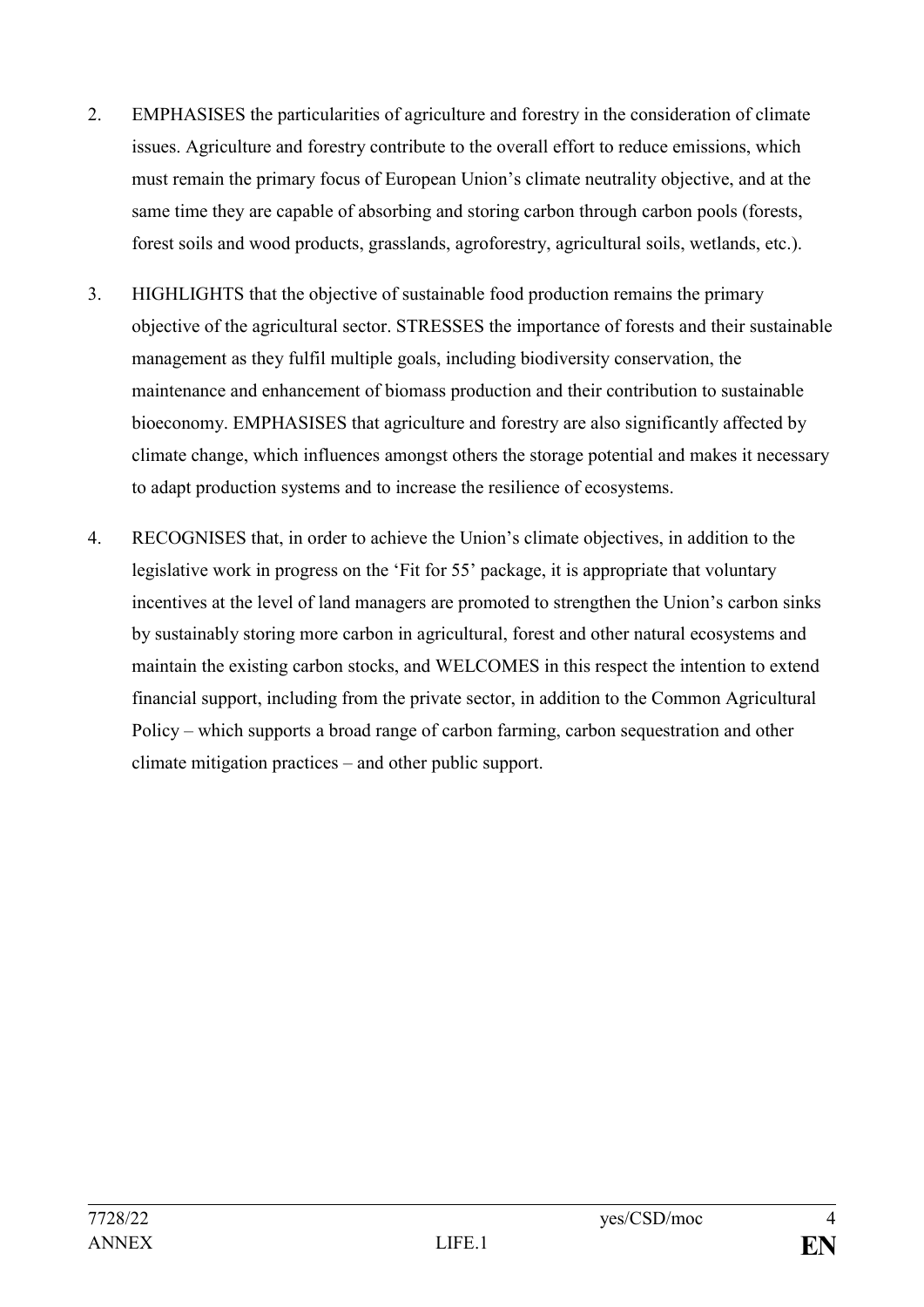- 2. EMPHASISES the particularities of agriculture and forestry in the consideration of climate issues. Agriculture and forestry contribute to the overall effort to reduce emissions, which must remain the primary focus of European Union's climate neutrality objective, and at the same time they are capable of absorbing and storing carbon through carbon pools (forests, forest soils and wood products, grasslands, agroforestry, agricultural soils, wetlands, etc.).
- 3. HIGHLIGHTS that the objective of sustainable food production remains the primary objective of the agricultural sector. STRESSES the importance of forests and their sustainable management as they fulfil multiple goals, including biodiversity conservation, the maintenance and enhancement of biomass production and their contribution to sustainable bioeconomy. EMPHASISES that agriculture and forestry are also significantly affected by climate change, which influences amongst others the storage potential and makes it necessary to adapt production systems and to increase the resilience of ecosystems.
- 4. RECOGNISES that, in order to achieve the Union's climate objectives, in addition to the legislative work in progress on the 'Fit for 55' package, it is appropriate that voluntary incentives at the level of land managers are promoted to strengthen the Union's carbon sinks by sustainably storing more carbon in agricultural, forest and other natural ecosystems and maintain the existing carbon stocks, and WELCOMES in this respect the intention to extend financial support, including from the private sector, in addition to the Common Agricultural Policy – which supports a broad range of carbon farming, carbon sequestration and other climate mitigation practices – and other public support.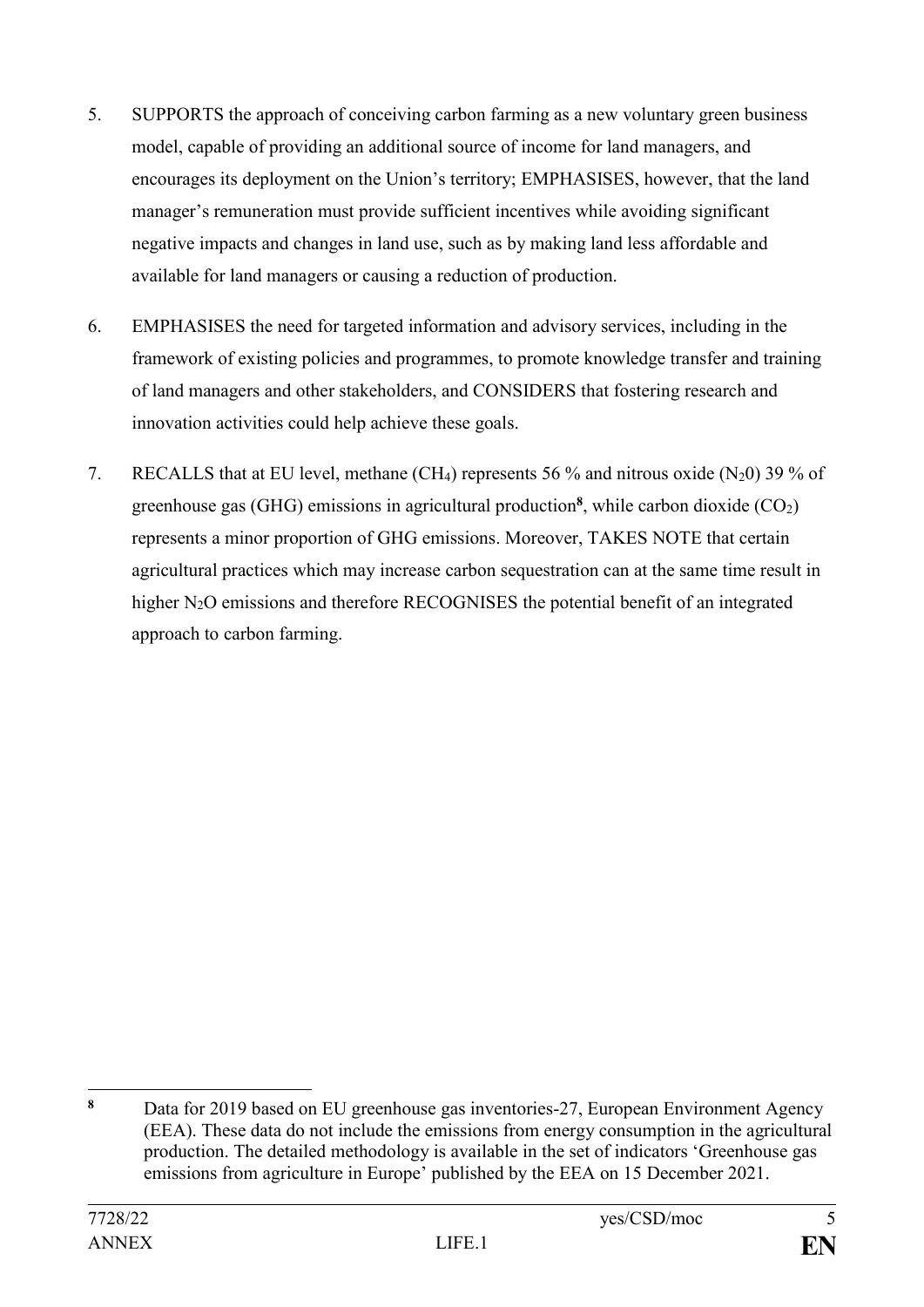- 5. SUPPORTS the approach of conceiving carbon farming as a new voluntary green business model, capable of providing an additional source of income for land managers, and encourages its deployment on the Union's territory; EMPHASISES, however, that the land manager's remuneration must provide sufficient incentives while avoiding significant negative impacts and changes in land use, such as by making land less affordable and available for land managers or causing a reduction of production.
- 6. EMPHASISES the need for targeted information and advisory services, including in the framework of existing policies and programmes, to promote knowledge transfer and training of land managers and other stakeholders, and CONSIDERS that fostering research and innovation activities could help achieve these goals.
- 7. RECALLS that at EU level, methane (CH<sub>4</sub>) represents 56 % and nitrous oxide (N<sub>2</sub>0) 39 % of greenhouse gas (GHG) emissions in agricultural production<sup>8</sup>, while carbon dioxide (CO<sub>2</sub>) represents a minor proportion of GHG emissions. Moreover, TAKES NOTE that certain agricultural practices which may increase carbon sequestration can at the same time result in higher N<sub>2</sub>O emissions and therefore RECOGNISES the potential benefit of an integrated approach to carbon farming.

 $\bf{8}$ Data for 2019 based on EU greenhouse gas inventories-27, European Environment Agency (EEA). These data do not include the emissions from energy consumption in the agricultural production. The detailed methodology is available in the set of indicators 'Greenhouse gas emissions from agriculture in Europe' published by the EEA on 15 December 2021.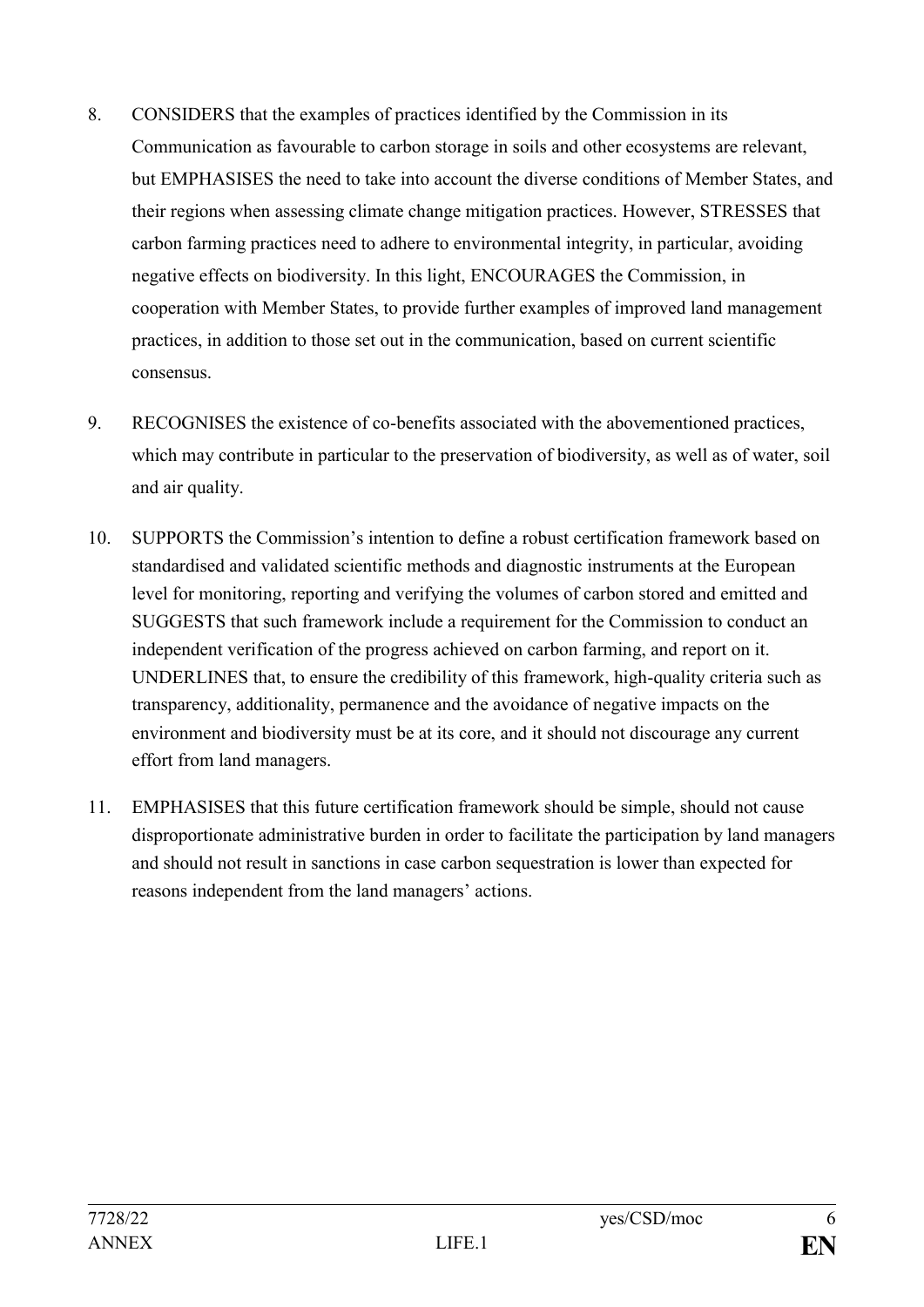- 8. CONSIDERS that the examples of practices identified by the Commission in its Communication as favourable to carbon storage in soils and other ecosystems are relevant, but EMPHASISES the need to take into account the diverse conditions of Member States, and their regions when assessing climate change mitigation practices. However, STRESSES that carbon farming practices need to adhere to environmental integrity, in particular, avoiding negative effects on biodiversity. In this light, ENCOURAGES the Commission, in cooperation with Member States, to provide further examples of improved land management practices, in addition to those set out in the communication, based on current scientific consensus.
- 9. RECOGNISES the existence of co-benefits associated with the abovementioned practices, which may contribute in particular to the preservation of biodiversity, as well as of water, soil and air quality.
- 10. SUPPORTS the Commission's intention to define a robust certification framework based on standardised and validated scientific methods and diagnostic instruments at the European level for monitoring, reporting and verifying the volumes of carbon stored and emitted and SUGGESTS that such framework include a requirement for the Commission to conduct an independent verification of the progress achieved on carbon farming, and report on it. UNDERLINES that, to ensure the credibility of this framework, high-quality criteria such as transparency, additionality, permanence and the avoidance of negative impacts on the environment and biodiversity must be at its core, and it should not discourage any current effort from land managers.
- 11. EMPHASISES that this future certification framework should be simple, should not cause disproportionate administrative burden in order to facilitate the participation by land managers and should not result in sanctions in case carbon sequestration is lower than expected for reasons independent from the land managers' actions.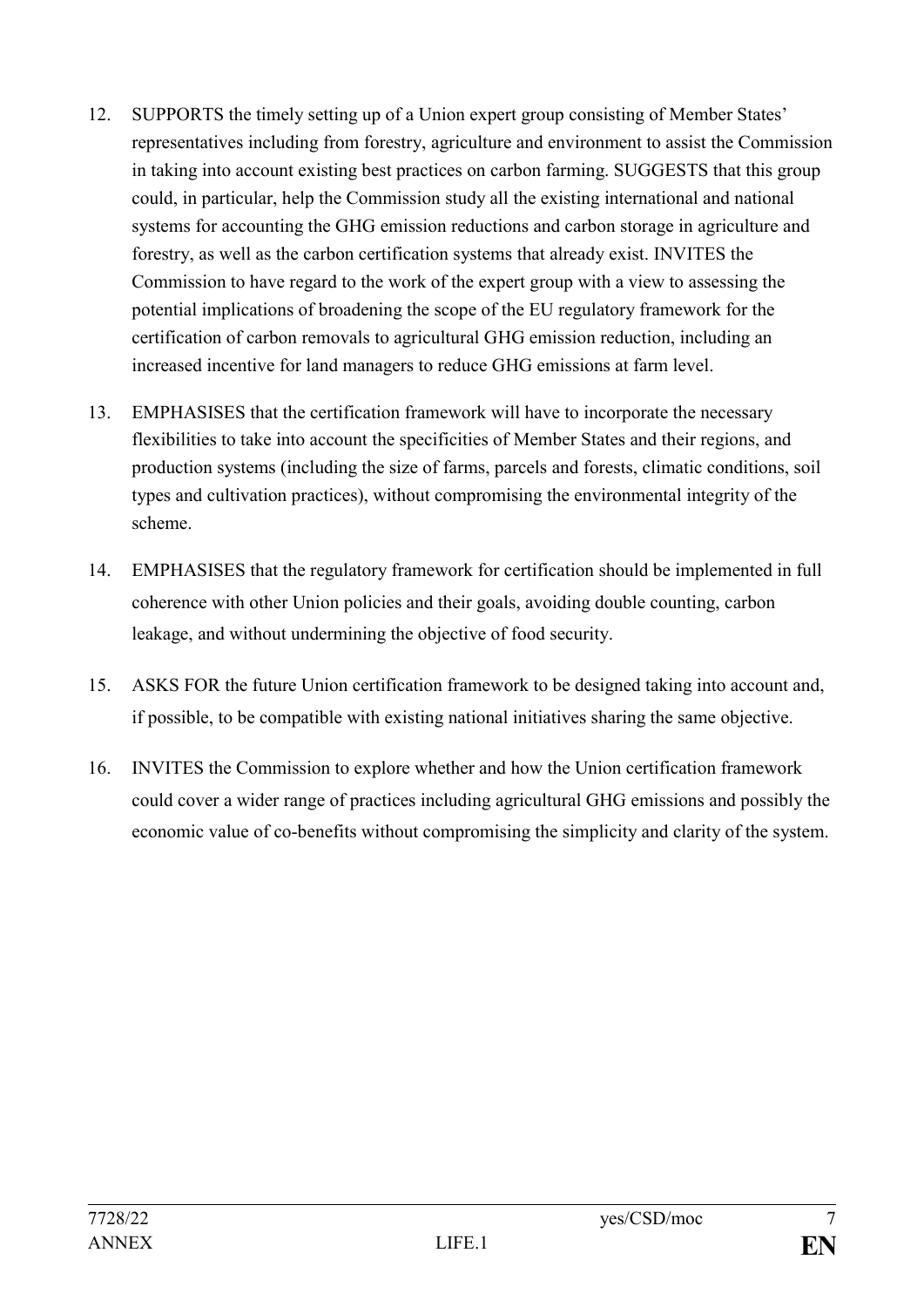- 12. SUPPORTS the timely setting up of a Union expert group consisting of Member States' representatives including from forestry, agriculture and environment to assist the Commission in taking into account existing best practices on carbon farming. SUGGESTS that this group could, in particular, help the Commission study all the existing international and national systems for accounting the GHG emission reductions and carbon storage in agriculture and forestry, as well as the carbon certification systems that already exist. INVITES the Commission to have regard to the work of the expert group with a view to assessing the potential implications of broadening the scope of the EU regulatory framework for the certification of carbon removals to agricultural GHG emission reduction, including an increased incentive for land managers to reduce GHG emissions at farm level.
- 13. EMPHASISES that the certification framework will have to incorporate the necessary flexibilities to take into account the specificities of Member States and their regions, and production systems (including the size of farms, parcels and forests, climatic conditions, soil types and cultivation practices), without compromising the environmental integrity of the scheme.
- 14. EMPHASISES that the regulatory framework for certification should be implemented in full coherence with other Union policies and their goals, avoiding double counting, carbon leakage, and without undermining the objective of food security.
- 15. ASKS FOR the future Union certification framework to be designed taking into account and, if possible, to be compatible with existing national initiatives sharing the same objective.
- 16. INVITES the Commission to explore whether and how the Union certification framework could cover a wider range of practices including agricultural GHG emissions and possibly the economic value of co-benefits without compromising the simplicity and clarity of the system.